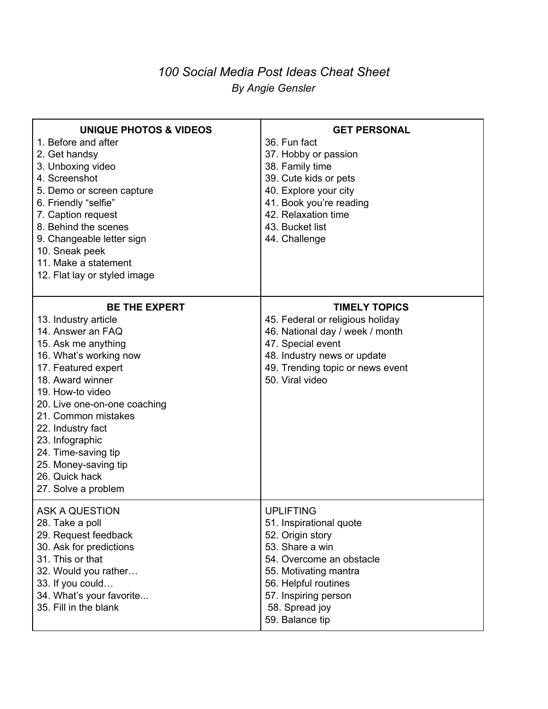## *100 Social Media Post Ideas Cheat Sheet By Angie Gensler*

| <b>UNIQUE PHOTOS &amp; VIDEOS</b> | <b>GET PERSONAL</b>              |
|-----------------------------------|----------------------------------|
| 1. Before and after               | 36. Fun fact                     |
| 2. Get handsy                     | 37. Hobby or passion             |
| 3. Unboxing video                 | 38. Family time                  |
| 4. Screenshot                     | 39. Cute kids or pets            |
| 5. Demo or screen capture         | 40. Explore your city            |
| 6. Friendly "selfie"              | 41. Book you're reading          |
| 7. Caption request                | 42. Relaxation time              |
| 8. Behind the scenes              | 43. Bucket list                  |
| 9. Changeable letter sign         | 44. Challenge                    |
| 10. Sneak peek                    |                                  |
| 11. Make a statement              |                                  |
| 12. Flat lay or styled image      |                                  |
| <b>BE THE EXPERT</b>              | <b>TIMELY TOPICS</b>             |
| 13. Industry article              | 45. Federal or religious holiday |
| 14. Answer an FAQ                 | 46. National day / week / month  |
| 15. Ask me anything               | 47. Special event                |
| 16. What's working now            | 48. Industry news or update      |
| 17. Featured expert               | 49. Trending topic or news event |
| 18. Award winner                  | 50. Viral video                  |
| 19. How-to video                  |                                  |
| 20. Live one-on-one coaching      |                                  |
| 21. Common mistakes               |                                  |
| 22. Industry fact                 |                                  |
| 23. Infographic                   |                                  |
| 24. Time-saving tip               |                                  |
| 25. Money-saving tip              |                                  |
| 26. Quick hack                    |                                  |
| 27. Solve a problem               |                                  |
| <b>ASK A QUESTION</b>             | <b>UPLIFTING</b>                 |
| 28. Take a poll                   | 51. Inspirational quote          |
| 29. Request feedback              | 52. Origin story                 |
| 30. Ask for predictions           | 53. Share a win                  |
| 31. This or that                  | 54. Overcome an obstacle         |
| 32. Would you rather              | 55. Motivating mantra            |
| 33. If you could                  | 56. Helpful routines             |
| 34. What's your favorite          | 57. Inspiring person             |
| 35. Fill in the blank             | 58. Spread joy                   |
|                                   | 59. Balance tip                  |